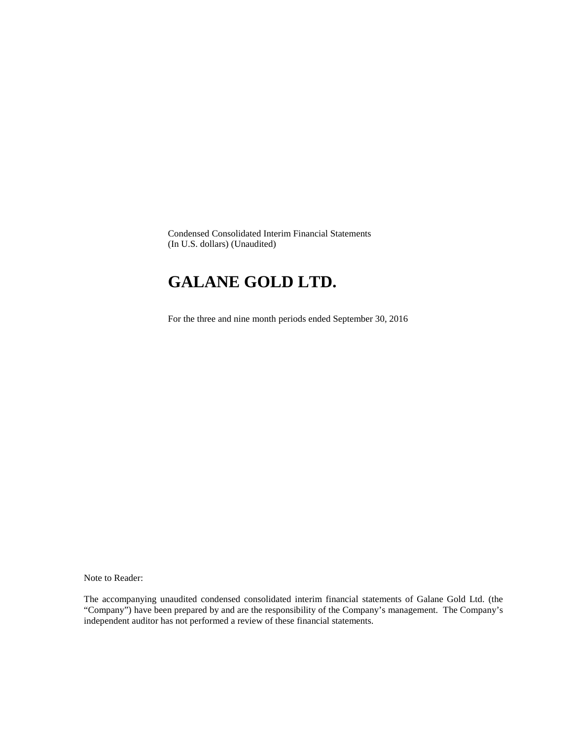Condensed Consolidated Interim Financial Statements (In U.S. dollars) (Unaudited)

# **GALANE GOLD LTD.**

For the three and nine month periods ended September 30, 2016

Note to Reader:

The accompanying unaudited condensed consolidated interim financial statements of Galane Gold Ltd. (the "Company") have been prepared by and are the responsibility of the Company's management. The Company's independent auditor has not performed a review of these financial statements.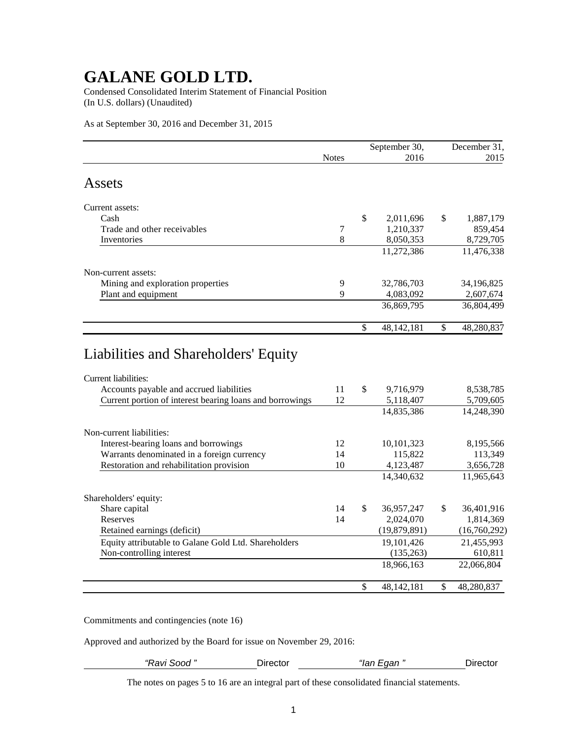Condensed Consolidated Interim Statement of Financial Position (In U.S. dollars) (Unaudited)

As at September 30, 2016 and December 31, 2015

|                                                                                                                                     |                |                          | September 30,                        | December 31,                         |
|-------------------------------------------------------------------------------------------------------------------------------------|----------------|--------------------------|--------------------------------------|--------------------------------------|
|                                                                                                                                     | <b>Notes</b>   |                          | 2016                                 | 2015                                 |
| Assets                                                                                                                              |                |                          |                                      |                                      |
| Current assets:                                                                                                                     |                |                          |                                      |                                      |
| Cash                                                                                                                                |                | \$                       | 2,011,696                            | \$<br>1,887,179                      |
| Trade and other receivables                                                                                                         | $\overline{7}$ |                          | 1,210,337                            | 859,454                              |
| Inventories                                                                                                                         | 8              |                          | 8,050,353                            | 8,729,705                            |
|                                                                                                                                     |                |                          | 11,272,386                           | 11,476,338                           |
| Non-current assets:                                                                                                                 |                |                          |                                      |                                      |
| Mining and exploration properties                                                                                                   | 9              |                          | 32,786,703                           | 34,196,825                           |
| Plant and equipment                                                                                                                 | 9              |                          | 4,083,092                            | 2,607,674                            |
|                                                                                                                                     |                |                          | 36,869,795                           | 36,804,499                           |
|                                                                                                                                     |                | $\overline{\mathcal{S}}$ | 48,142,181                           | \$<br>48,280,837                     |
| <b>Current liabilities:</b><br>Accounts payable and accrued liabilities<br>Current portion of interest bearing loans and borrowings | 11<br>12       | \$                       | 9,716,979<br>5,118,407<br>14,835,386 | 8,538,785<br>5,709,605<br>14,248,390 |
| Non-current liabilities:                                                                                                            |                |                          |                                      |                                      |
| Interest-bearing loans and borrowings                                                                                               | 12             |                          | 10,101,323                           | 8,195,566                            |
| Warrants denominated in a foreign currency                                                                                          | 14             |                          | 115,822                              | 113,349                              |
| Restoration and rehabilitation provision                                                                                            | 10             |                          | 4,123,487                            | 3,656,728                            |
|                                                                                                                                     |                |                          | 14,340,632                           | 11,965,643                           |
| Shareholders' equity:                                                                                                               |                |                          |                                      |                                      |
| Share capital                                                                                                                       | 14             | \$                       | 36,957,247                           | \$<br>36,401,916                     |
| Reserves                                                                                                                            | 14             |                          | 2,024,070                            | 1,814,369                            |
| Retained earnings (deficit)                                                                                                         |                |                          | (19,879,891)                         | (16,760,292)                         |
| Equity attributable to Galane Gold Ltd. Shareholders                                                                                |                |                          | 19,101,426                           | 21,455,993                           |
| Non-controlling interest                                                                                                            |                |                          | (135,263)                            | 610,811                              |
|                                                                                                                                     |                |                          | 18,966,163                           | 22,066,804                           |
|                                                                                                                                     |                | $\mathbb{S}$             | 48,142,181                           | \$<br>48,280,837                     |

Commitments and contingencies (note 16)

Approved and authorized by the Board for issue on November 29, 2016:

*"Ravi Sood "* Director *"Ian Egan "* Director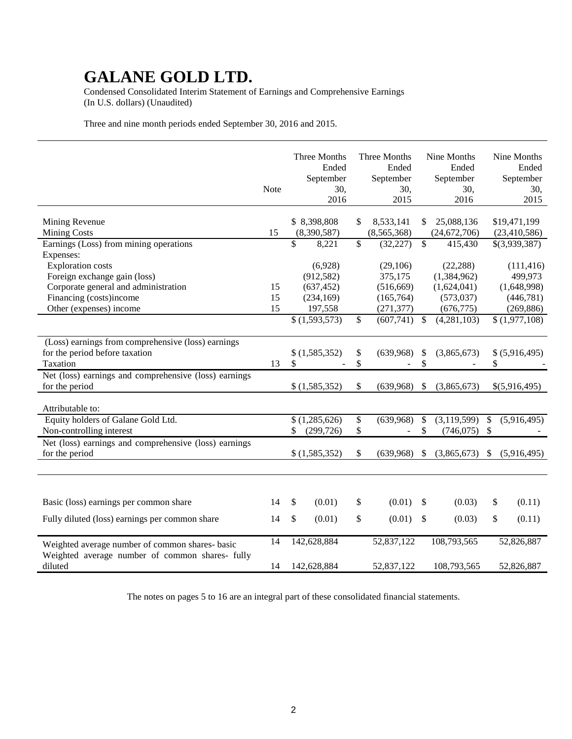Condensed Consolidated Interim Statement of Earnings and Comprehensive Earnings (In U.S. dollars) (Unaudited)

Three and nine month periods ended September 30, 2016 and 2015.

|                                                                 | <b>Note</b> | Three Months<br>Ended<br>September<br>30,<br>2016 | Three Months<br>Ended<br>September<br>30,<br>2015 |               | Nine Months<br>Ended<br>September<br>30,<br>2016 | Nine Months<br>Ended<br>September<br>30,<br>2015 |
|-----------------------------------------------------------------|-------------|---------------------------------------------------|---------------------------------------------------|---------------|--------------------------------------------------|--------------------------------------------------|
| Mining Revenue<br><b>Mining Costs</b>                           | 15          | \$8,398,808                                       | \$<br>8,533,141                                   | \$            | 25,088,136                                       | \$19,471,199                                     |
|                                                                 |             | (8,390,587)                                       | (8,565,368)                                       |               | (24, 672, 706)                                   | (23, 410, 586)                                   |
| Earnings (Loss) from mining operations                          |             | \$<br>8,221                                       | \$<br>(32, 227)                                   | \$            | 415,430                                          | \$(3,939,387)                                    |
| Expenses:                                                       |             |                                                   |                                                   |               |                                                  |                                                  |
| <b>Exploration</b> costs                                        |             | (6,928)<br>(912, 582)                             | (29,106)<br>375,175                               |               | (22, 288)                                        | (111, 416)<br>499,973                            |
| Foreign exchange gain (loss)                                    |             |                                                   |                                                   |               | (1,384,962)                                      |                                                  |
| Corporate general and administration<br>Financing (costs)income | 15<br>15    | (637, 452)<br>(234, 169)                          | (516, 669)                                        |               | (1,624,041)                                      | (1,648,998)<br>(446,781)                         |
| Other (expenses) income                                         | 15          | 197,558                                           | (165, 764)                                        |               | (573, 037)<br>(676, 775)                         | (269, 886)                                       |
|                                                                 |             | \$(1,593,573)                                     | \$<br>(271, 377)<br>(607,741)                     | $\mathcal{S}$ | (4,281,103)                                      |                                                  |
|                                                                 |             |                                                   |                                                   |               |                                                  | \$(1,977,108)                                    |
| (Loss) earnings from comprehensive (loss) earnings              |             |                                                   |                                                   |               |                                                  |                                                  |
| for the period before taxation                                  |             | \$(1,585,352)                                     | \$<br>(639,968)                                   | \$            | (3,865,673)                                      | \$ (5,916,495)                                   |
| Taxation                                                        | 13          | \$                                                | \$                                                | \$            |                                                  | \$                                               |
| Net (loss) earnings and comprehensive (loss) earnings           |             |                                                   |                                                   |               |                                                  |                                                  |
| for the period                                                  |             | \$(1,585,352)                                     | \$<br>(639,968)                                   | \$            | (3,865,673)                                      | \$(5,916,495)                                    |
|                                                                 |             |                                                   |                                                   |               |                                                  |                                                  |
| Attributable to:                                                |             |                                                   |                                                   |               |                                                  |                                                  |
| Equity holders of Galane Gold Ltd.                              |             | (1,285,626)                                       | \$<br>(639,968)                                   | \$            | (3,119,599)                                      | \$<br>(5,916,495)                                |
| Non-controlling interest                                        |             | (299, 726)                                        | \$                                                | \$            | (746, 075)                                       | \$                                               |
| Net (loss) earnings and comprehensive (loss) earnings           |             |                                                   |                                                   |               |                                                  |                                                  |
| for the period                                                  |             | \$(1,585,352)                                     | \$<br>(639,968)                                   | \$            | (3,865,673)                                      | \$<br>(5,916,495)                                |
|                                                                 |             |                                                   |                                                   |               |                                                  |                                                  |
|                                                                 |             |                                                   |                                                   |               |                                                  |                                                  |
|                                                                 |             |                                                   |                                                   |               |                                                  |                                                  |
| Basic (loss) earnings per common share                          | 14          | \$<br>(0.01)                                      | \$<br>(0.01)                                      | \$            | (0.03)                                           | \$<br>(0.11)                                     |
| Fully diluted (loss) earnings per common share                  | 14          | \$<br>(0.01)                                      | \$<br>(0.01)                                      | \$            | (0.03)                                           | \$<br>(0.11)                                     |
|                                                                 |             |                                                   |                                                   |               |                                                  |                                                  |
| Weighted average number of common shares- basic                 | 14          | 142,628,884                                       | 52,837,122                                        |               | 108,793,565                                      | 52,826,887                                       |
| Weighted average number of common shares- fully                 |             |                                                   |                                                   |               |                                                  |                                                  |
| diluted                                                         | 14          | 142,628,884                                       | 52,837,122                                        |               | 108,793,565                                      | 52,826,887                                       |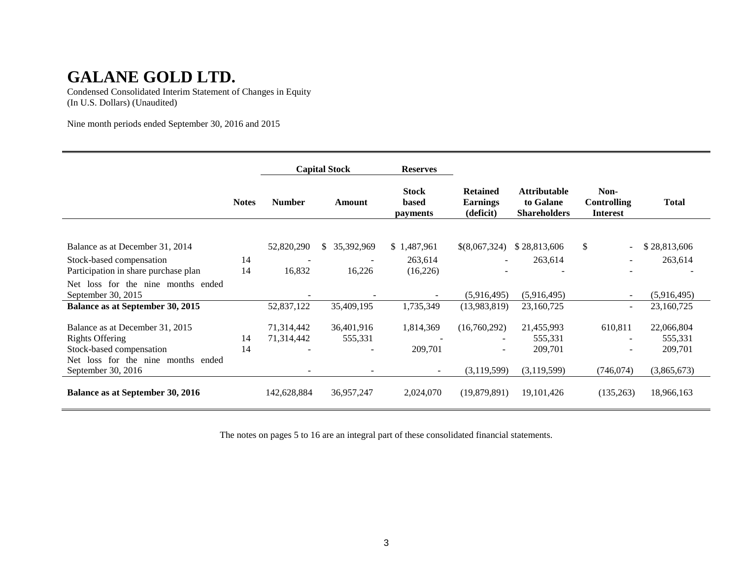Condensed Consolidated Interim Statement of Changes in Equity (In U.S. Dollars) (Unaudited)

Nine month periods ended September 30, 2016 and 2015

|                                                                                                                             |              |                          | <b>Capital Stock</b>  | <b>Reserves</b>                   |                                                 |                                                         |                                               |                                  |
|-----------------------------------------------------------------------------------------------------------------------------|--------------|--------------------------|-----------------------|-----------------------------------|-------------------------------------------------|---------------------------------------------------------|-----------------------------------------------|----------------------------------|
|                                                                                                                             | <b>Notes</b> | <b>Number</b>            | Amount                | <b>Stock</b><br>based<br>payments | <b>Retained</b><br><b>Earnings</b><br>(deficit) | <b>Attributable</b><br>to Galane<br><b>Shareholders</b> | Non-<br><b>Controlling</b><br><b>Interest</b> | <b>Total</b>                     |
| Balance as at December 31, 2014                                                                                             |              | 52,820,290               | 35,392,969<br>S.      | \$1,487,961                       | \$(8,067,324)                                   | \$28,813,606                                            | $\mathbb{S}$<br>$\overline{\phantom{a}}$      | \$28,813,606                     |
| Stock-based compensation<br>Participation in share purchase plan                                                            | 14<br>14     | 16,832                   | 16,226                | 263,614<br>(16,226)               |                                                 | 263,614                                                 |                                               | 263,614                          |
| Net loss for the nine months ended<br>September 30, 2015                                                                    |              |                          |                       |                                   | (5,916,495)                                     | (5,916,495)                                             |                                               | (5,916,495)                      |
| Balance as at September 30, 2015                                                                                            |              | 52,837,122               | 35,409,195            | 1,735,349                         | (13,983,819)                                    | 23,160,725                                              | $\overline{\phantom{a}}$                      | 23,160,725                       |
| Balance as at December 31, 2015<br><b>Rights Offering</b><br>Stock-based compensation<br>Net loss for the nine months ended | 14<br>14     | 71,314,442<br>71,314,442 | 36,401,916<br>555,331 | 1,814,369<br>209,701              | (16,760,292)                                    | 21,455,993<br>555,331<br>209,701                        | 610,811<br>$\overline{\phantom{a}}$           | 22,066,804<br>555,331<br>209,701 |
| September 30, 2016                                                                                                          |              |                          |                       | $\overline{\phantom{a}}$          | (3,119,599)                                     | (3,119,599)                                             | (746, 074)                                    | (3,865,673)                      |
| <b>Balance as at September 30, 2016</b>                                                                                     |              | 142,628,884              | 36,957,247            | 2,024,070                         | (19,879,891)                                    | 19, 101, 426                                            | (135,263)                                     | 18,966,163                       |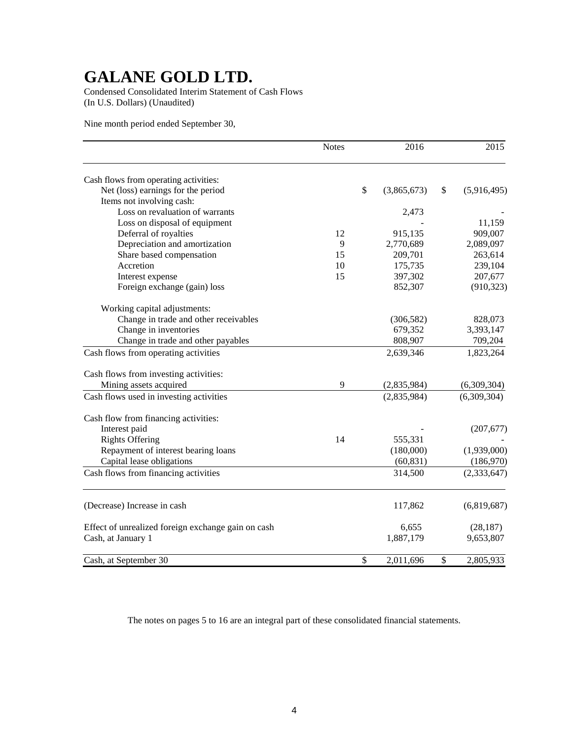Condensed Consolidated Interim Statement of Cash Flows (In U.S. Dollars) (Unaudited)

Nine month period ended September 30,

|                                                    | <b>Notes</b> | 2016              | 2015              |
|----------------------------------------------------|--------------|-------------------|-------------------|
| Cash flows from operating activities:              |              |                   |                   |
| Net (loss) earnings for the period                 |              | \$<br>(3,865,673) | \$<br>(5,916,495) |
| Items not involving cash:                          |              |                   |                   |
| Loss on revaluation of warrants                    |              | 2,473             |                   |
| Loss on disposal of equipment                      |              |                   | 11,159            |
| Deferral of royalties                              | 12           | 915,135           | 909,007           |
| Depreciation and amortization                      | 9            | 2,770,689         | 2,089,097         |
| Share based compensation                           | 15           | 209,701           | 263,614           |
| Accretion                                          | 10           | 175,735           | 239,104           |
| Interest expense                                   | 15           | 397,302           | 207,677           |
| Foreign exchange (gain) loss                       |              | 852,307           | (910, 323)        |
| Working capital adjustments:                       |              |                   |                   |
| Change in trade and other receivables              |              | (306, 582)        | 828,073           |
| Change in inventories                              |              | 679,352           | 3,393,147         |
| Change in trade and other payables                 |              | 808,907           | 709,204           |
| Cash flows from operating activities               |              | 2,639,346         | 1,823,264         |
| Cash flows from investing activities:              |              |                   |                   |
| Mining assets acquired                             | 9            | (2,835,984)       | (6,309,304)       |
| Cash flows used in investing activities            |              | (2,835,984)       | (6,309,304)       |
| Cash flow from financing activities:               |              |                   |                   |
| Interest paid                                      |              |                   | (207, 677)        |
| <b>Rights Offering</b>                             | 14           | 555,331           |                   |
| Repayment of interest bearing loans                |              | (180,000)         | (1,939,000)       |
| Capital lease obligations                          |              | (60, 831)         | (186,970)         |
| Cash flows from financing activities               |              | 314,500           | (2,333,647)       |
| (Decrease) Increase in cash                        |              | 117,862           | (6,819,687)       |
| Effect of unrealized foreign exchange gain on cash |              | 6,655             | (28, 187)         |
| Cash, at January 1                                 |              | 1,887,179         | 9,653,807         |
|                                                    |              |                   |                   |
| Cash, at September 30                              |              | \$<br>2,011,696   | \$<br>2,805,933   |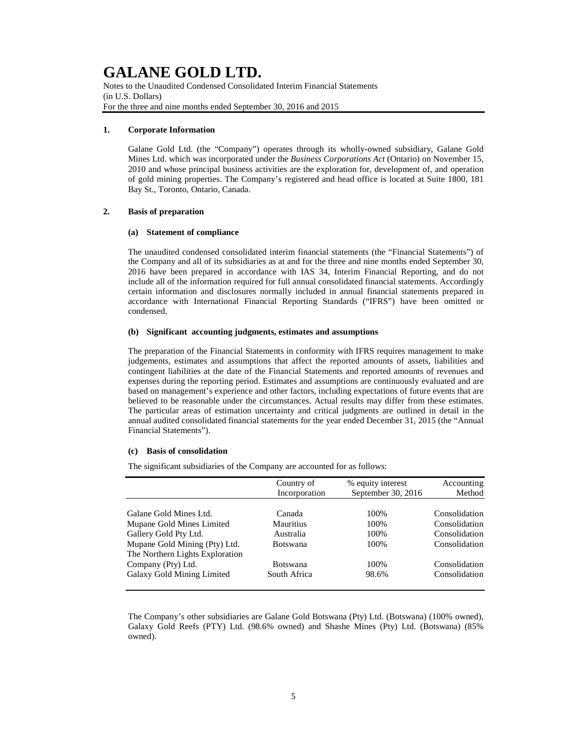Notes to the Unaudited Condensed Consolidated Interim Financial Statements (in U.S. Dollars) For the three and nine months ended September 30, 2016 and 2015

### **1. Corporate Information**

Galane Gold Ltd. (the "Company") operates through its wholly-owned subsidiary, Galane Gold Mines Ltd. which was incorporated under the *Business Corporations Act* (Ontario) on November 15, 2010 and whose principal business activities are the exploration for, development of, and operation of gold mining properties. The Company's registered and head office is located at Suite 1800, 181 Bay St., Toronto, Ontario, Canada.

### **2. Basis of preparation**

### **(a) Statement of compliance**

The unaudited condensed consolidated interim financial statements (the "Financial Statements") of the Company and all of its subsidiaries as at and for the three and nine months ended September 30, 2016 have been prepared in accordance with IAS 34, Interim Financial Reporting, and do not include all of the information required for full annual consolidated financial statements. Accordingly certain information and disclosures normally included in annual financial statements prepared in accordance with International Financial Reporting Standards ("IFRS") have been omitted or condensed.

### **(b) Significant accounting judgments, estimates and assumptions**

The preparation of the Financial Statements in conformity with IFRS requires management to make judgements, estimates and assumptions that affect the reported amounts of assets, liabilities and contingent liabilities at the date of the Financial Statements and reported amounts of revenues and expenses during the reporting period. Estimates and assumptions are continuously evaluated and are based on management's experience and other factors, including expectations of future events that are believed to be reasonable under the circumstances. Actual results may differ from these estimates. The particular areas of estimation uncertainty and critical judgments are outlined in detail in the annual audited consolidated financial statements for the year ended December 31, 2015 (the "Annual Financial Statements").

#### **(c) Basis of consolidation**

The significant subsidiaries of the Company are accounted for as follows:

|                                 | Country of<br>Incorporation | % equity interest<br>September 30, 2016 | Accounting<br>Method |
|---------------------------------|-----------------------------|-----------------------------------------|----------------------|
|                                 |                             |                                         |                      |
| Galane Gold Mines Ltd.          | Canada                      | 100%                                    | Consolidation        |
| Mupane Gold Mines Limited       | <b>Mauritius</b>            | 100%                                    | Consolidation        |
| Gallery Gold Pty Ltd.           | Australia                   | 100%                                    | Consolidation        |
| Mupane Gold Mining (Pty) Ltd.   | <b>Botswana</b>             | 100%                                    | Consolidation        |
| The Northern Lights Exploration |                             |                                         |                      |
| Company (Pty) Ltd.              | <b>Botswana</b>             | 100%                                    | Consolidation        |
| Galaxy Gold Mining Limited      | South Africa                | 98.6%                                   | Consolidation        |
|                                 |                             |                                         |                      |

The Company's other subsidiaries are Galane Gold Botswana (Pty) Ltd. (Botswana) (100% owned), Galaxy Gold Reefs (PTY) Ltd. (98.6% owned) and Shashe Mines (Pty) Ltd. (Botswana) (85% owned).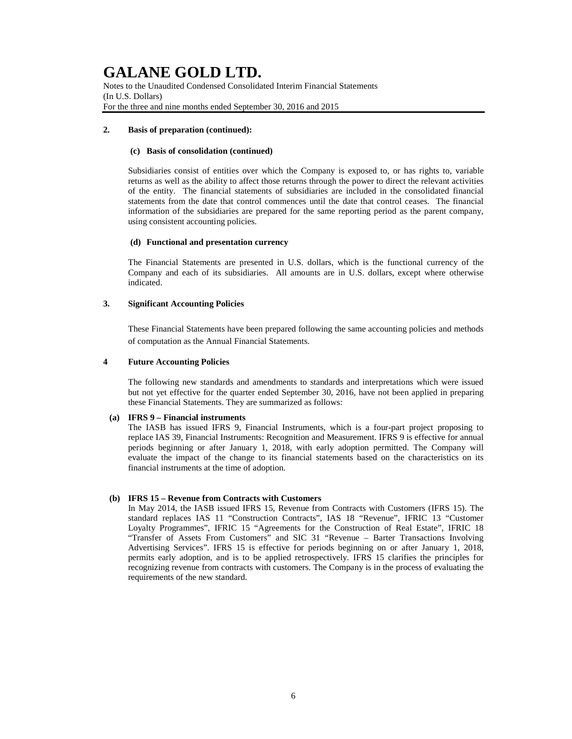Notes to the Unaudited Condensed Consolidated Interim Financial Statements (In U.S. Dollars) For the three and nine months ended September 30, 2016 and 2015

### **2. Basis of preparation (continued):**

## **(c) Basis of consolidation (continued)**

Subsidiaries consist of entities over which the Company is exposed to, or has rights to, variable returns as well as the ability to affect those returns through the power to direct the relevant activities of the entity. The financial statements of subsidiaries are included in the consolidated financial statements from the date that control commences until the date that control ceases. The financial information of the subsidiaries are prepared for the same reporting period as the parent company, using consistent accounting policies.

## **(d) Functional and presentation currency**

The Financial Statements are presented in U.S. dollars, which is the functional currency of the Company and each of its subsidiaries. All amounts are in U.S. dollars, except where otherwise indicated.

## **3. Significant Accounting Policies**

These Financial Statements have been prepared following the same accounting policies and methods of computation as the Annual Financial Statements.

## **4 Future Accounting Policies**

The following new standards and amendments to standards and interpretations which were issued but not yet effective for the quarter ended September 30, 2016, have not been applied in preparing these Financial Statements. They are summarized as follows:

### **(a) IFRS 9 – Financial instruments**

The IASB has issued IFRS 9, Financial Instruments, which is a four-part project proposing to replace IAS 39, Financial Instruments: Recognition and Measurement. IFRS 9 is effective for annual periods beginning or after January 1, 2018, with early adoption permitted. The Company will evaluate the impact of the change to its financial statements based on the characteristics on its financial instruments at the time of adoption.

## **(b) IFRS 15 – Revenue from Contracts with Customers**

In May 2014, the IASB issued IFRS 15, Revenue from Contracts with Customers (IFRS 15). The standard replaces IAS 11 "Construction Contracts", IAS 18 "Revenue", IFRIC 13 "Customer Loyalty Programmes", IFRIC 15 "Agreements for the Construction of Real Estate", IFRIC 18 "Transfer of Assets From Customers" and SIC 31 "Revenue – Barter Transactions Involving Advertising Services". IFRS 15 is effective for periods beginning on or after January 1, 2018, permits early adoption, and is to be applied retrospectively. IFRS 15 clarifies the principles for recognizing revenue from contracts with customers. The Company is in the process of evaluating the requirements of the new standard.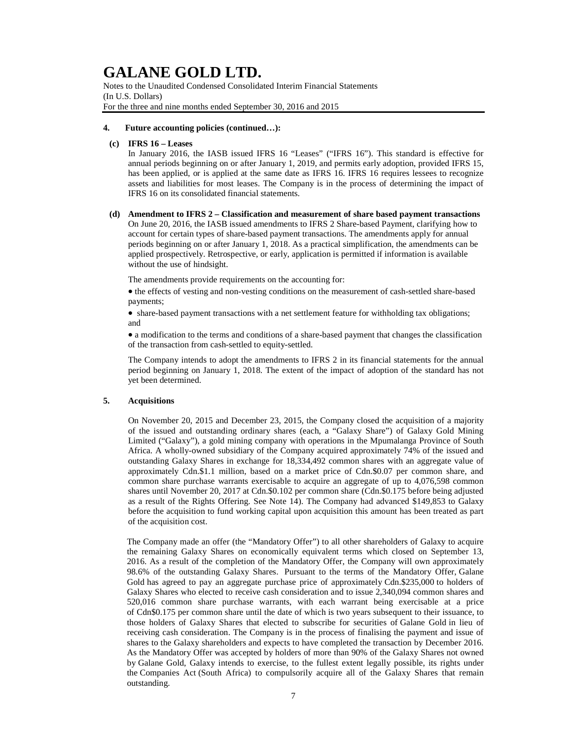Notes to the Unaudited Condensed Consolidated Interim Financial Statements (In U.S. Dollars) For the three and nine months ended September 30, 2016 and 2015

#### **4. Future accounting policies (continued…):**

### **(c) IFRS 16 – Leases**

In January 2016, the IASB issued IFRS 16 "Leases" ("IFRS 16"). This standard is effective for annual periods beginning on or after January 1, 2019, and permits early adoption, provided IFRS 15, has been applied, or is applied at the same date as IFRS 16. IFRS 16 requires lessees to recognize assets and liabilities for most leases. The Company is in the process of determining the impact of IFRS 16 on its consolidated financial statements.

### **(d) Amendment to IFRS 2 – Classification and measurement of share based payment transactions**

On June 20, 2016, the IASB issued amendments to IFRS 2 Share-based Payment, clarifying how to account for certain types of share-based payment transactions. The amendments apply for annual periods beginning on or after January 1, 2018. As a practical simplification, the amendments can be applied prospectively. Retrospective, or early, application is permitted if information is available without the use of hindsight.

The amendments provide requirements on the accounting for:

• the effects of vesting and non-vesting conditions on the measurement of cash-settled share-based payments;

• share-based payment transactions with a net settlement feature for withholding tax obligations; and

• a modification to the terms and conditions of a share-based payment that changes the classification of the transaction from cash-settled to equity-settled.

The Company intends to adopt the amendments to IFRS 2 in its financial statements for the annual period beginning on January 1, 2018. The extent of the impact of adoption of the standard has not yet been determined.

### **5. Acquisitions**

On November 20, 2015 and December 23, 2015, the Company closed the acquisition of a majority of the issued and outstanding ordinary shares (each, a "Galaxy Share") of Galaxy Gold Mining Limited ("Galaxy"), a gold mining company with operations in the Mpumalanga Province of South Africa. A wholly-owned subsidiary of the Company acquired approximately 74% of the issued and outstanding Galaxy Shares in exchange for 18,334,492 common shares with an aggregate value of approximately Cdn.\$1.1 million, based on a market price of Cdn.\$0.07 per common share, and common share purchase warrants exercisable to acquire an aggregate of up to 4,076,598 common shares until November 20, 2017 at Cdn.\$0.102 per common share (Cdn.\$0.175 before being adjusted as a result of the Rights Offering. See Note 14). The Company had advanced \$149,853 to Galaxy before the acquisition to fund working capital upon acquisition this amount has been treated as part of the acquisition cost.

The Company made an offer (the "Mandatory Offer") to all other shareholders of Galaxy to acquire the remaining Galaxy Shares on economically equivalent terms which closed on September 13, 2016. As a result of the completion of the Mandatory Offer, the Company will own approximately 98.6% of the outstanding Galaxy Shares. Pursuant to the terms of the Mandatory Offer, Galane Gold has agreed to pay an aggregate purchase price of approximately Cdn.\$235,000 to holders of Galaxy Shares who elected to receive cash consideration and to issue 2,340,094 common shares and 520,016 common share purchase warrants, with each warrant being exercisable at a price of Cdn\$0.175 per common share until the date of which is two years subsequent to their issuance, to those holders of Galaxy Shares that elected to subscribe for securities of Galane Gold in lieu of receiving cash consideration. The Company is in the process of finalising the payment and issue of shares to the Galaxy shareholders and expects to have completed the transaction by December 2016. As the Mandatory Offer was accepted by holders of more than 90% of the Galaxy Shares not owned by Galane Gold, Galaxy intends to exercise, to the fullest extent legally possible, its rights under the Companies Act (South Africa) to compulsorily acquire all of the Galaxy Shares that remain outstanding.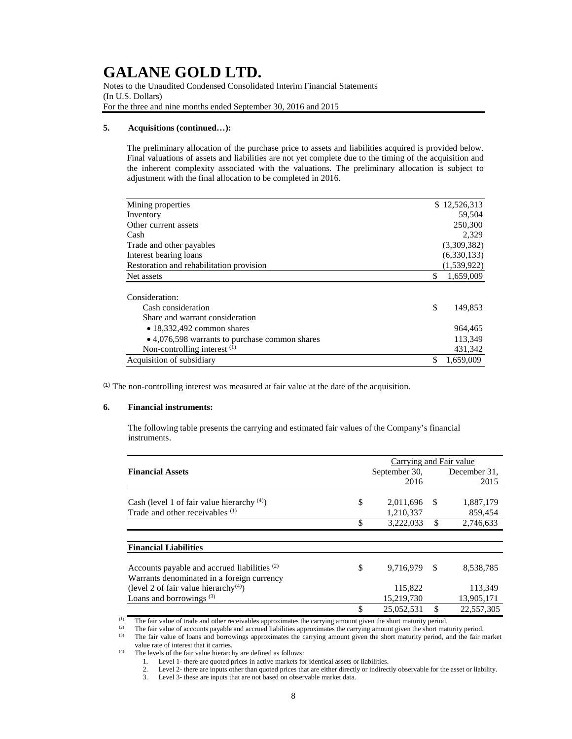Notes to the Unaudited Condensed Consolidated Interim Financial Statements (In U.S. Dollars) For the three and nine months ended September 30, 2016 and 2015

### **5. Acquisitions (continued…):**

The preliminary allocation of the purchase price to assets and liabilities acquired is provided below. Final valuations of assets and liabilities are not yet complete due to the timing of the acquisition and the inherent complexity associated with the valuations. The preliminary allocation is subject to adjustment with the final allocation to be completed in 2016.

| Mining properties                              | \$12,526,313    |
|------------------------------------------------|-----------------|
| Inventory                                      | 59,504          |
| Other current assets                           | 250,300         |
| Cash                                           | 2.329           |
| Trade and other payables                       | (3,309,382)     |
| Interest bearing loans                         | (6,330,133)     |
| Restoration and rehabilitation provision       | (1,539,922)     |
| Net assets                                     | \$<br>1,659,009 |
|                                                |                 |
| Consideration:                                 |                 |
| Cash consideration                             | \$<br>149,853   |
| Share and warrant consideration                |                 |
| $\bullet$ 18,332,492 common shares             | 964,465         |
| • 4,076,598 warrants to purchase common shares | 113,349         |
| Non-controlling interest $(1)$                 | 431.342         |
| Acquisition of subsidiary                      | \$<br>1.659.009 |

 $(1)$  The non-controlling interest was measured at fair value at the date of the acquisition.

#### **6. Financial instruments:**

The following table presents the carrying and estimated fair values of the Company's financial instruments.

|                                                                                                       |               | Carrying and Fair value |     |              |
|-------------------------------------------------------------------------------------------------------|---------------|-------------------------|-----|--------------|
| <b>Financial Assets</b>                                                                               |               | September 30,           |     | December 31. |
|                                                                                                       |               | 2016                    |     | 2015         |
|                                                                                                       |               |                         |     |              |
| Cash (level 1 of fair value hierarchy $(4)$ )                                                         | <sup>\$</sup> | 2,011,696               | -S  | 1,887,179    |
| Trade and other receivables (1)                                                                       |               | 1,210,337               |     | 859,454      |
|                                                                                                       | \$            | 3,222,033               | \$. | 2.746.633    |
|                                                                                                       |               |                         |     |              |
| <b>Financial Liabilities</b>                                                                          |               |                         |     |              |
| Accounts payable and accrued liabilities <sup>(2)</sup><br>Warrants denominated in a foreign currency | \$            | 9,716,979               | -\$ | 8.538.785    |
| (level 2 of fair value hierarchy <sup>(4)</sup> )                                                     |               | 115,822                 |     | 113.349      |
| Loans and borrowings <sup>(3)</sup>                                                                   |               | 15,219,730              |     | 13,905,171   |
|                                                                                                       | \$            | 25,052,531              | \$  | 22,557,305   |

(1) The fair value of trade and other receivables approximates the carrying amount given the short maturity period.<br>(2) The fair value of accounts pevable and accrued liabilities approximates the carrying amount given the

(2) The fair value of accounts payable and accrued liabilities approximates the carrying amount given the short maturity period.<br>(3) The fair value of leaps and becomings approximates the carrying amount given the short m The fair value of loans and borrowings approximates the carrying amount given the short maturity period, and the fair market

value rate of interest that it carries. (4) The levels of the fair value hierarchy are defined as follows:

1. Level 1- there are quoted prices in active markets for identical assets or liabilities.

2. Level 2- there are inputs other than quoted prices that are either directly or indirectly observable for the asset or liability.<br>3. Level 3- these are inputs that are not based on observable market data.

Level 3- these are inputs that are not based on observable market data.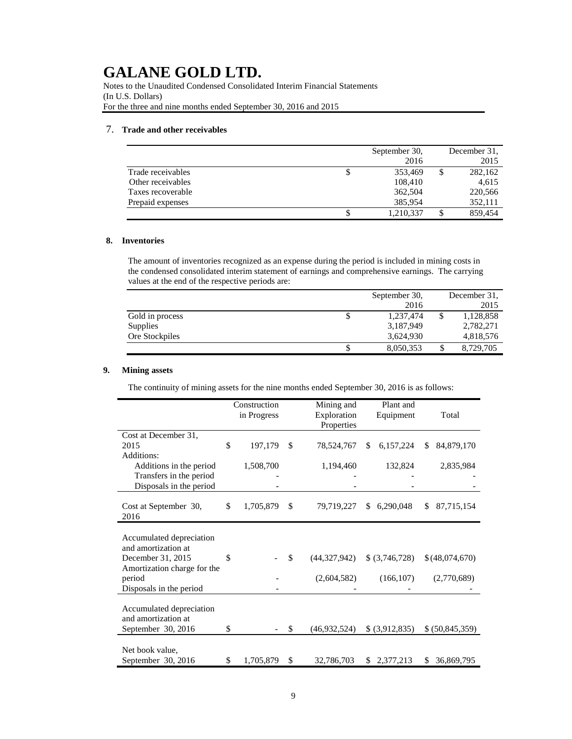Notes to the Unaudited Condensed Consolidated Interim Financial Statements (In U.S. Dollars) For the three and nine months ended September 30, 2016 and 2015

## 7. **Trade and other receivables**

|                   | September 30,   | December 31. |
|-------------------|-----------------|--------------|
|                   | 2016            | 2015         |
| Trade receivables | \$<br>353,469   | 282,162      |
| Other receivables | 108,410         | 4,615        |
| Taxes recoverable | 362,504         | 220,566      |
| Prepaid expenses  | 385,954         | 352,111      |
|                   | \$<br>1,210,337 | 859,454      |

### **8. Inventories**

The amount of inventories recognized as an expense during the period is included in mining costs in the condensed consolidated interim statement of earnings and comprehensive earnings. The carrying values at the end of the respective periods are:

|                 |    | September 30, | December 31, |
|-----------------|----|---------------|--------------|
|                 |    | 2016          | 2015         |
| Gold in process | \$ | 1.237.474     | 1,128,858    |
| Supplies        |    | 3,187,949     | 2,782,271    |
| Ore Stockpiles  |    | 3,624,930     | 4,818,576    |
|                 | S  | 8,050,353     | 8,729,705    |

## **9. Mining assets**

The continuity of mining assets for the nine months ended September 30, 2016 is as follows:

|                                                                                                     | Construction<br>in Progress |     | Mining and<br>Exploration<br>Properties | Plant and<br>Equipment | Total             |
|-----------------------------------------------------------------------------------------------------|-----------------------------|-----|-----------------------------------------|------------------------|-------------------|
| Cost at December 31,<br>2015<br>Additions:                                                          | \$<br>197,179               | \$  | 78,524,767                              | 6,157,224<br>\$        | \$<br>84,879,170  |
| Additions in the period<br>Transfers in the period<br>Disposals in the period                       | 1,508,700                   |     | 1,194,460                               | 132,824                | 2,835,984         |
| Cost at September 30,<br>2016                                                                       | \$<br>1,705,879             | \$  | 79,719,227                              | 6,290,048<br>\$.       | 87,715,154<br>\$. |
| Accumulated depreciation<br>and amortization at<br>December 31, 2015<br>Amortization charge for the | \$                          | \$  | (44,327,942)                            | \$ (3,746,728)         | \$(48,074,670)    |
| period<br>Disposals in the period                                                                   |                             |     | (2,604,582)                             | (166, 107)             | (2,770,689)       |
| Accumulated depreciation<br>and amortization at                                                     |                             |     |                                         |                        |                   |
| September 30, 2016                                                                                  | \$                          | \$. | (46,932,524)                            | \$ (3,912,835)         | \$ (50,845,359)   |
| Net book value.<br>September 30, 2016                                                               | \$<br>1,705,879             | \$  | 32,786,703                              | 2,377,213<br>S.        | 36,869,795<br>S   |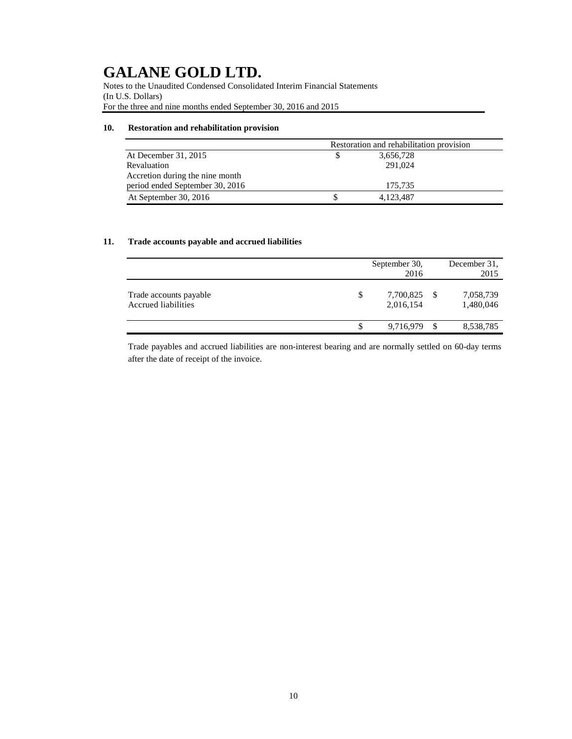Notes to the Unaudited Condensed Consolidated Interim Financial Statements (In U.S. Dollars) For the three and nine months ended September 30, 2016 and 2015

## **10. Restoration and rehabilitation provision**

|                                 | Restoration and rehabilitation provision |           |  |  |
|---------------------------------|------------------------------------------|-----------|--|--|
| At December 31, 2015            |                                          | 3,656,728 |  |  |
| Revaluation                     |                                          | 291,024   |  |  |
| Accretion during the nine month |                                          |           |  |  |
| period ended September 30, 2016 |                                          | 175.735   |  |  |
| At September 30, 2016           |                                          | 4,123,487 |  |  |

## **11. Trade accounts payable and accrued liabilities**

|                                               | September 30,<br>2016        |     | December 31,<br>2015   |
|-----------------------------------------------|------------------------------|-----|------------------------|
| Trade accounts payable<br>Accrued liabilities | \$<br>7,700,825<br>2,016,154 | -S  | 7,058,739<br>1,480,046 |
|                                               | \$<br>9,716,979              | \$. | 8,538,785              |

Trade payables and accrued liabilities are non-interest bearing and are normally settled on 60-day terms after the date of receipt of the invoice.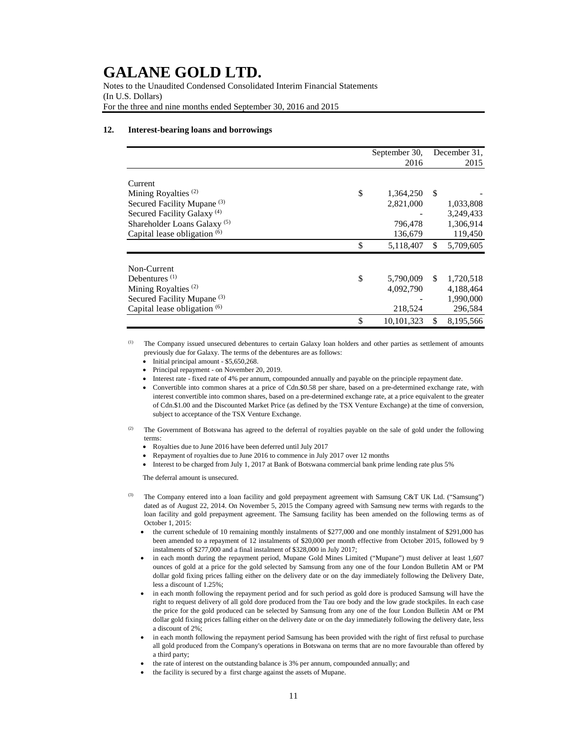Notes to the Unaudited Condensed Consolidated Interim Financial Statements (In U.S. Dollars) For the three and nine months ended September 30, 2016 and 2015

#### **12. Interest-bearing loans and borrowings**

|                                         | September 30,    |     | December 31. |
|-----------------------------------------|------------------|-----|--------------|
|                                         | 2016             |     | 2015         |
| Current                                 |                  |     |              |
| Mining Royalties <sup>(2)</sup>         | \$<br>1,364,250  | S   |              |
| Secured Facility Mupane <sup>(3)</sup>  | 2,821,000        |     | 1,033,808    |
| Secured Facility Galaxy <sup>(4)</sup>  |                  |     | 3,249,433    |
| Shareholder Loans Galaxy <sup>(5)</sup> | 796,478          |     | 1,306,914    |
| Capital lease obligation (6)            | 136,679          |     | 119,450      |
|                                         | \$<br>5,118,407  | S.  | 5,709,605    |
| Non-Current                             |                  |     |              |
| Debentures $(1)$                        | \$<br>5,790,009  | \$. | 1,720,518    |
| Mining Royalties <sup>(2)</sup>         | 4,092,790        |     | 4,188,464    |
| Secured Facility Mupane <sup>(3)</sup>  |                  |     | 1,990,000    |
| Capital lease obligation (6)            | 218,524          |     | 296,584      |
|                                         | \$<br>10,101,323 | \$  | 8,195,566    |

The Company issued unsecured debentures to certain Galaxy loan holders and other parties as settlement of amounts previously due for Galaxy. The terms of the debentures are as follows:

- Initial principal amount \$5,650,268.
- Principal repayment on November 20, 2019.
- Interest rate fixed rate of 4% per annum, compounded annually and payable on the principle repayment date.
- Convertible into common shares at a price of Cdn.\$0.58 per share, based on a pre-determined exchange rate, with interest convertible into common shares, based on a pre-determined exchange rate, at a price equivalent to the greater of Cdn.\$1.00 and the Discounted Market Price (as defined by the TSX Venture Exchange) at the time of conversion, subject to acceptance of the TSX Venture Exchange.
- The Government of Botswana has agreed to the deferral of royalties payable on the sale of gold under the following terms:
	- Royalties due to June 2016 have been deferred until July 2017
	- Repayment of royalties due to June 2016 to commence in July 2017 over 12 months
	- Interest to be charged from July 1, 2017 at Bank of Botswana commercial bank prime lending rate plus 5%

The deferral amount is unsecured.

- <sup>(3)</sup> The Company entered into a loan facility and gold prepayment agreement with Samsung C&T UK Ltd. ("Samsung") dated as of August 22, 2014. On November 5, 2015 the Company agreed with Samsung new terms with regards to the loan facility and gold prepayment agreement. The Samsung facility has been amended on the following terms as of October 1, 2015:
	- the current schedule of 10 remaining monthly instalments of \$277,000 and one monthly instalment of \$291,000 has been amended to a repayment of 12 instalments of \$20,000 per month effective from October 2015, followed by 9 instalments of \$277,000 and a final instalment of \$328,000 in July 2017;
	- in each month during the repayment period, Mupane Gold Mines Limited ("Mupane") must deliver at least 1,607 ounces of gold at a price for the gold selected by Samsung from any one of the four London Bulletin AM or PM dollar gold fixing prices falling either on the delivery date or on the day immediately following the Delivery Date, less a discount of 1.25%;
	- in each month following the repayment period and for such period as gold dore is produced Samsung will have the right to request delivery of all gold dore produced from the Tau ore body and the low grade stockpiles. In each case the price for the gold produced can be selected by Samsung from any one of the four London Bulletin AM or PM dollar gold fixing prices falling either on the delivery date or on the day immediately following the delivery date, less a discount of 2%;
	- in each month following the repayment period Samsung has been provided with the right of first refusal to purchase all gold produced from the Company's operations in Botswana on terms that are no more favourable than offered by a third party;
	- the rate of interest on the outstanding balance is 3% per annum, compounded annually; and
	- the facility is secured by a first charge against the assets of Mupane.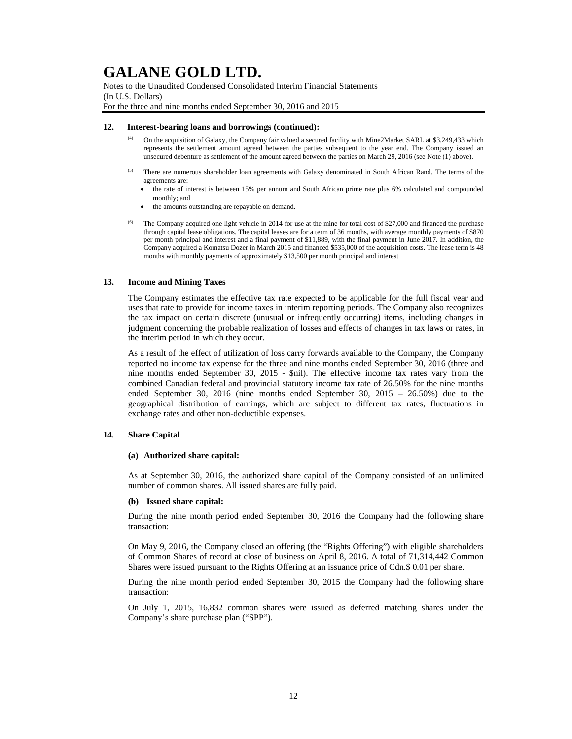Notes to the Unaudited Condensed Consolidated Interim Financial Statements (In U.S. Dollars) For the three and nine months ended September 30, 2016 and 2015

#### **12. Interest-bearing loans and borrowings (continued):**

- (4) On the acquisition of Galaxy, the Company fair valued a secured facility with Mine2Market SARL at \$3,249,433 which represents the settlement amount agreed between the parties subsequent to the year end. The Company issued an unsecured debenture as settlement of the amount agreed between the parties on March 29, 2016 (see Note (1) above).
- <sup>(5)</sup> There are numerous shareholder loan agreements with Galaxy denominated in South African Rand. The terms of the agreements are:
	- the rate of interest is between 15% per annum and South African prime rate plus 6% calculated and compounded monthly; and
	- the amounts outstanding are repayable on demand.
- <sup>(6)</sup> The Company acquired one light vehicle in 2014 for use at the mine for total cost of \$27,000 and financed the purchase through capital lease obligations. The capital leases are for a term of 36 months, with average monthly payments of \$870 per month principal and interest and a final payment of \$11,889, with the final payment in June 2017. In addition, the Company acquired a Komatsu Dozer in March 2015 and financed \$535,000 of the acquisition costs. The lease term is 48 months with monthly payments of approximately \$13,500 per month principal and interest

### **13. Income and Mining Taxes**

The Company estimates the effective tax rate expected to be applicable for the full fiscal year and uses that rate to provide for income taxes in interim reporting periods. The Company also recognizes the tax impact on certain discrete (unusual or infrequently occurring) items, including changes in judgment concerning the probable realization of losses and effects of changes in tax laws or rates, in the interim period in which they occur.

As a result of the effect of utilization of loss carry forwards available to the Company, the Company reported no income tax expense for the three and nine months ended September 30, 2016 (three and nine months ended September 30, 2015 - \$nil). The effective income tax rates vary from the combined Canadian federal and provincial statutory income tax rate of 26.50% for the nine months ended September 30, 2016 (nine months ended September 30, 2015 – 26.50%) due to the geographical distribution of earnings, which are subject to different tax rates, fluctuations in exchange rates and other non-deductible expenses.

#### **14. Share Capital**

#### **(a) Authorized share capital:**

As at September 30, 2016, the authorized share capital of the Company consisted of an unlimited number of common shares. All issued shares are fully paid.

#### **(b) Issued share capital:**

During the nine month period ended September 30, 2016 the Company had the following share transaction:

On May 9, 2016, the Company closed an offering (the "Rights Offering") with eligible shareholders of Common Shares of record at close of business on April 8, 2016. A total of 71,314,442 Common Shares were issued pursuant to the Rights Offering at an issuance price of Cdn.\$ 0.01 per share.

During the nine month period ended September 30, 2015 the Company had the following share transaction:

On July 1, 2015, 16,832 common shares were issued as deferred matching shares under the Company's share purchase plan ("SPP").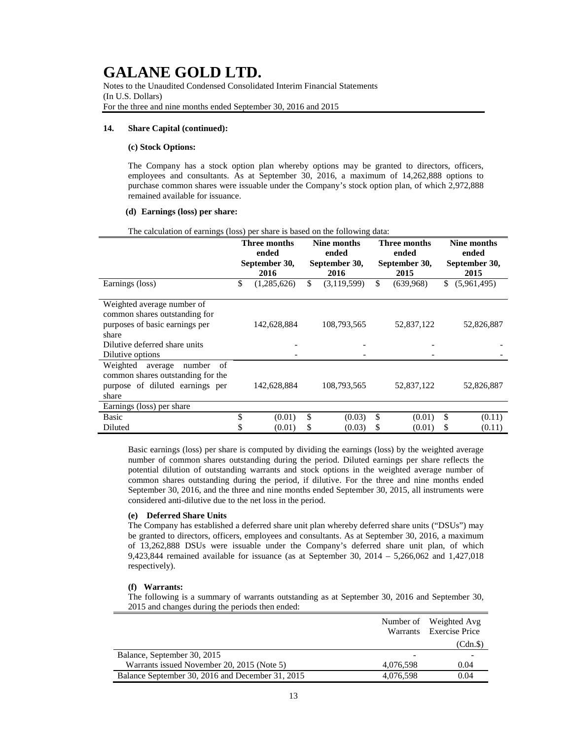Notes to the Unaudited Condensed Consolidated Interim Financial Statements (In U.S. Dollars) For the three and nine months ended September 30, 2016 and 2015

#### **14. Share Capital (continued):**

#### **(c) Stock Options:**

The Company has a stock option plan whereby options may be granted to directors, officers, employees and consultants. As at September 30, 2016, a maximum of 14,262,888 options to purchase common shares were issuable under the Company's stock option plan, of which 2,972,888 remained available for issuance.

#### **(d) Earnings (loss) per share:**

|                                                                                                                                                             | <b>Three months</b><br>ended<br>September 30,<br>2016 |             | Nine months<br>ended<br>September 30,<br>2016 |             | <b>Three months</b><br>ended<br>September 30,<br>2015 |            | Nine months<br>ended<br>September 30,<br>2015 |             |
|-------------------------------------------------------------------------------------------------------------------------------------------------------------|-------------------------------------------------------|-------------|-----------------------------------------------|-------------|-------------------------------------------------------|------------|-----------------------------------------------|-------------|
| Earnings (loss)                                                                                                                                             | \$                                                    | (1,285,626) | $\mathbb{S}$                                  | (3,119,599) | \$                                                    | (639,968)  | \$                                            | (5,961,495) |
| Weighted average number of<br>common shares outstanding for<br>purposes of basic earnings per<br>share<br>Dilutive deferred share units<br>Dilutive options |                                                       | 142,628,884 |                                               | 108,793,565 |                                                       | 52,837,122 |                                               | 52,826,887  |
| Weighted<br>number<br>average<br>-of<br>common shares outstanding for the<br>purpose of diluted earnings per<br>share                                       |                                                       | 142,628,884 |                                               | 108,793,565 |                                                       | 52,837,122 |                                               | 52,826,887  |
| Earnings (loss) per share                                                                                                                                   |                                                       |             |                                               |             |                                                       |            |                                               |             |
| <b>Basic</b>                                                                                                                                                | \$                                                    | (0.01)      | \$                                            | (0.03)      | \$                                                    | (0.01)     | \$                                            | (0.11)      |
| Diluted                                                                                                                                                     |                                                       | (0.01)      | \$                                            | (0.03)      | S                                                     | (0.01)     | S                                             | (0.11)      |

The calculation of earnings (loss) per share is based on the following data:

Basic earnings (loss) per share is computed by dividing the earnings (loss) by the weighted average number of common shares outstanding during the period. Diluted earnings per share reflects the potential dilution of outstanding warrants and stock options in the weighted average number of common shares outstanding during the period, if dilutive. For the three and nine months ended September 30, 2016, and the three and nine months ended September 30, 2015, all instruments were considered anti-dilutive due to the net loss in the period.

### **(e) Deferred Share Units**

The Company has established a deferred share unit plan whereby deferred share units ("DSUs") may be granted to directors, officers, employees and consultants. As at September 30, 2016, a maximum of 13,262,888 DSUs were issuable under the Company's deferred share unit plan, of which 9,423,844 remained available for issuance (as at September 30, 2014 – 5,266,062 and 1,427,018 respectively).

## **(f) Warrants:**

The following is a summary of warrants outstanding as at September 30, 2016 and September 30, 2015 and changes during the periods then ended:

|                                                  |           | Number of Weighted Avg<br>Warrants Exercise Price |
|--------------------------------------------------|-----------|---------------------------------------------------|
|                                                  |           | (Cdn.S)                                           |
| Balance, September 30, 2015                      |           |                                                   |
| Warrants issued November 20, 2015 (Note 5)       | 4.076.598 | 0.04                                              |
| Balance September 30, 2016 and December 31, 2015 | 4,076,598 | 0.04                                              |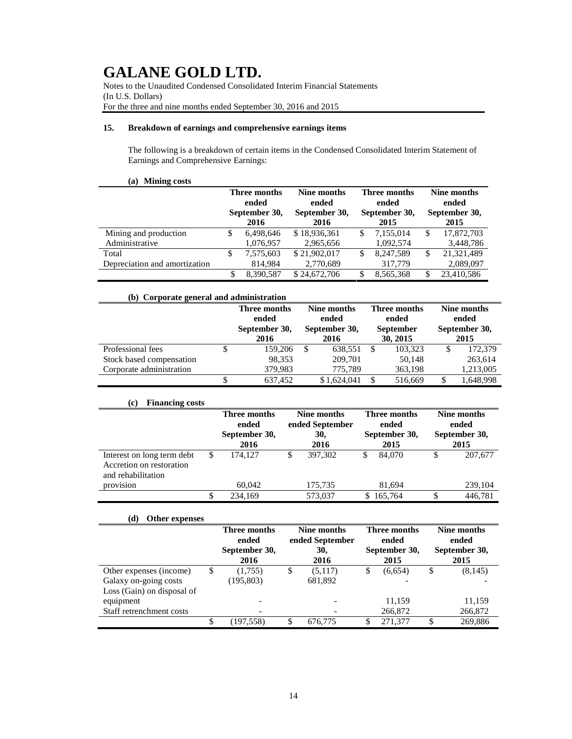Notes to the Unaudited Condensed Consolidated Interim Financial Statements (In U.S. Dollars) For the three and nine months ended September 30, 2016 and 2015

## **15. Breakdown of earnings and comprehensive earnings items**

The following is a breakdown of certain items in the Condensed Consolidated Interim Statement of Earnings and Comprehensive Earnings:

|                               | Three months<br>ended<br>September 30,<br>2016 | Nine months<br>ended<br>September 30,<br>2016 | Three months<br>ended<br>September 30,<br>2015 |           | Nine months<br>ended<br>September 30,<br>2015 |            |
|-------------------------------|------------------------------------------------|-----------------------------------------------|------------------------------------------------|-----------|-----------------------------------------------|------------|
| Mining and production         | 6,498,646                                      | \$18,936,361                                  | S                                              | 7.155.014 | S                                             | 17,872,703 |
| Administrative                | 1,076,957                                      | 2,965,656                                     |                                                | 1,092,574 |                                               | 3,448,786  |
| Total                         | 7,575,603                                      | \$21,902,017                                  | S                                              | 8.247.589 | S                                             | 21,321,489 |
| Depreciation and amortization | 814,984                                        | 2,770,689                                     |                                                | 317,779   |                                               | 2,089,097  |
|                               | 8.390.587                                      | \$24,672,706                                  |                                                | 8,565,368 |                                               | 23,410,586 |

| (b) Corporate general and administration |   |                       |    |                       |                              |                       |                       |                      |
|------------------------------------------|---|-----------------------|----|-----------------------|------------------------------|-----------------------|-----------------------|----------------------|
|                                          |   | Three months<br>ended |    | Nine months<br>ended  |                              | Three months<br>ended |                       | Nine months<br>ended |
|                                          |   | September 30,<br>2016 |    | September 30,<br>2016 | <b>September</b><br>30, 2015 |                       | September 30,<br>2015 |                      |
| Professional fees                        |   | 159,206               | -8 | 638.551               | <b>S</b>                     | 103,323               | S                     | 172,379              |
| Stock based compensation                 |   | 98,353                |    | 209,701               |                              | 50,148                |                       | 263,614              |
| Corporate administration                 |   | 379,983               |    | 775,789               |                              | 363,198               |                       | 1,213,005            |
|                                          | S | 637.452               |    | \$1,624,041           |                              | 516,669               | S                     | 1,648,998            |

| <b>Financing costs</b><br>(c)                                                |   |                                                |                                               |         |                                                |         |                                               |         |  |
|------------------------------------------------------------------------------|---|------------------------------------------------|-----------------------------------------------|---------|------------------------------------------------|---------|-----------------------------------------------|---------|--|
|                                                                              |   | Three months<br>ended<br>September 30,<br>2016 | Nine months<br>ended September<br>30,<br>2016 |         | Three months<br>ended<br>September 30,<br>2015 |         | Nine months<br>ended<br>September 30,<br>2015 |         |  |
| Interest on long term debt<br>Accretion on restoration<br>and rehabilitation | S | 174.127                                        | S                                             | 397,302 | S                                              | 84,070  | J                                             | 207,677 |  |
| provision                                                                    |   | 60.042                                         |                                               | 175,735 |                                                | 81,694  |                                               | 239,104 |  |
|                                                                              |   | 234,169                                        |                                               | 573.037 | S                                              | 165,764 |                                               | 446.781 |  |

## **(d) Other expenses**

|                            |    | Three months<br>ended | Nine months<br>ended September |    | Three months<br>ended | Nine months<br>ended  |
|----------------------------|----|-----------------------|--------------------------------|----|-----------------------|-----------------------|
|                            |    | September 30,<br>2016 | 30,<br>2016                    |    | September 30,<br>2015 | September 30,<br>2015 |
| Other expenses (income)    | S  | (1,755)               | \$<br>(5,117)                  | \$ | (6,654)               | \$<br>(8, 145)        |
| Galaxy on-going costs      |    | (195,803)             | 681,892                        |    |                       |                       |
| Loss (Gain) on disposal of |    |                       |                                |    |                       |                       |
| equipment                  |    |                       |                                |    | 11.159                | 11,159                |
| Staff retrenchment costs   |    |                       |                                |    | 266,872               | 266,872               |
|                            | \$ | (197.558)             | 676,775                        | S  | 271,377               | \$<br>269.886         |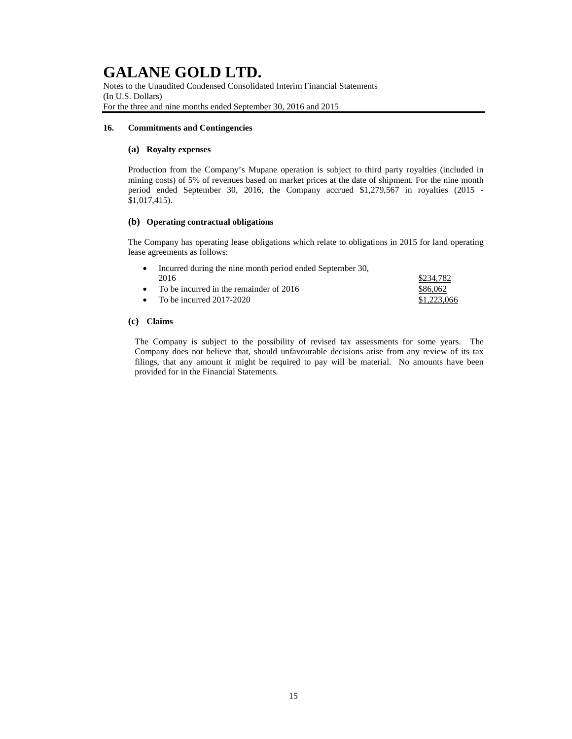Notes to the Unaudited Condensed Consolidated Interim Financial Statements (In U.S. Dollars) For the three and nine months ended September 30, 2016 and 2015

### **16. Commitments and Contingencies**

### **(a) Royalty expenses**

Production from the Company's Mupane operation is subject to third party royalties (included in mining costs) of 5% of revenues based on market prices at the date of shipment. For the nine month period ended September 30, 2016, the Company accrued \$1,279,567 in royalties (2015 - \$1,017,415).

### **(b) Operating contractual obligations**

The Company has operating lease obligations which relate to obligations in 2015 for land operating lease agreements as follows:

| • Incurred during the nine month period ended September 30, |             |  |  |  |  |  |  |
|-------------------------------------------------------------|-------------|--|--|--|--|--|--|
| 2016                                                        | \$234,782   |  |  |  |  |  |  |
| • To be incurred in the remainder of $2016$                 | \$86,062    |  |  |  |  |  |  |
| • To be incurred $2017-2020$                                | \$1,223,066 |  |  |  |  |  |  |

## **(c) Claims**

The Company is subject to the possibility of revised tax assessments for some years. The Company does not believe that, should unfavourable decisions arise from any review of its tax filings, that any amount it might be required to pay will be material. No amounts have been provided for in the Financial Statements.